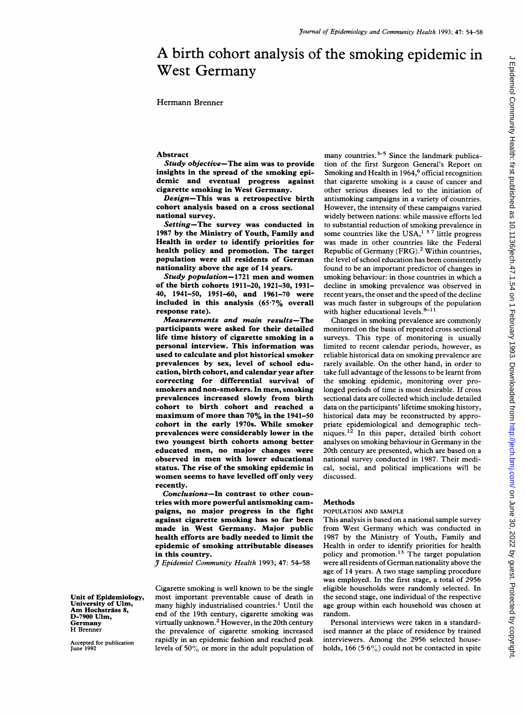# A birth cohort analysis of the smoking epidemic in West Germany

Hermann Brenner

## Abstract

Study objective-The aim was to provide insights in the spread of the smoking epidemic and eventual progress against cigarette smoking in West Germany.

Design-This was a retrospective birth cohort analysis based on a cross sectional national survey.

Setting-The survey was conducted in 1987 by the Ministry of Youth, Family and Health in order to identify priorities for health policy and promotion. The target population were all residents of German nationality above the age of 14 years.

Study population-1721 men and women of the birth cohorts 1911-20, 1921-30, 1931- 40, 1941-50, 1951-60, and 1961-70 were included in this analysis (65-7% overall response rate).

Measurements and main results-The participants were asked for their detailed life time history of cigarette smoking in a personal interview. This information was used to calculate and plot historical smoker prevalences by sex, level of school education, birth cohort, and calendar year after correcting for differential survival of smokers and non-smokers. In men, smoking prevalences increased slowly from birth cohort to birth cohort and reached a maximum of more than 70% in the 1941-50 cohort in the early 1970s. While smoker prevalences were considerably lower in the two youngest birth cohorts among better educated men, no major changes were observed in men with lower educational status. The rise of the smoking epidemic in women seems to have levelled off only very recently.

Conclusions-In contrast to other countries with more powerful antismoking campaigns, no major progress in the fight against cigarette smoking has so far been made in West Germany. Major public health efforts are badly needed to limit the epidemic of smoking attributable diseases in this country.

J Epidemiol Community Health 1993; 47: 54-58

Cigarette smoking is well known to be the single most important preventable cause of death in many highly industrialised countries.<sup>1</sup> Until the end of the 19th century, cigarette smoking was virtually unknown.<sup>2</sup> However, in the 20th century the prevalence of cigarette smoking increased rapidly in an epidemic fashion and reached peak levels of 50% or more in the adult population of

Unit of Epidemiology, University of Ulm, Am Hochsträss 8, D-7900 Ulm, Germany H Brenner

Accepted for publication June 1992

many countries. $3-5$  Since the landmark publication of the first Surgeon General's Report on Smoking and Health in  $1964<sup>6</sup>$  official recognition that cigarette smoking is a cause of cancer and other serious diseases led to the initiation of antismoking campaigns in a variety of countries. However, the intensity of these campaigns varied widely between nations: while massive efforts led to substantial reduction of smoking prevalence in some countries like the USA,<sup>1 3 7</sup> little progress was made in other countries like the Federal Republic of Germany (FRG).2 Within countries, the level of school education has been consistently found to be an important predictor of changes in smoking behaviour: in those countries in which a decline in smoking prevalence was observed in recent years, the onset and the speed of the decline was much faster in subgroups of the population with higher educational levels. $8-11$ 

Changes in smoking prevalence are commonly monitored on the basis of repeated cross sectional surveys. This type of monitoring is usually limited to recent calendar periods, however, as reliable historical data on smoking prevalence are rarely available. On the other hand, in order to take full advantage of the lessons to be learnt from the smoking epidemic, monitoring over prolonged periods of time is most desirable. If cross sectional data are collected which include detailed data on the participants' lifetime smoking history, historical data may be reconstructed by appropriate epidemiological and demographic techniques.<sup>12</sup> In this paper, detailed birth cohort analyses on smoking behaviour in Germany in the 20th century are presented, which are based on a national survey conducted in 1987. Their medical, social, and political implications will be discussed.

#### Methods

#### POPULATION AND SAMPLE

This analysis is based on a national sample survey from West Germany which was conducted in 1987 by the Ministry of Youth, Family and Health in order to identify priorities for health policy and promotion.<sup>13</sup> The target population were all residents of German nationality above the age of <sup>14</sup> years. A two stage sampling procedure was employed. In the first stage, a total of 2956 eligible households were randomly selected. In the second stage, one individual of the respective age group within each household was chosen at random.

Personal interviews were taken in a standardised manner at the place of residence by trained interviewers. Among the 2956 selected households, 166 (5.6%) could not be contacted in spite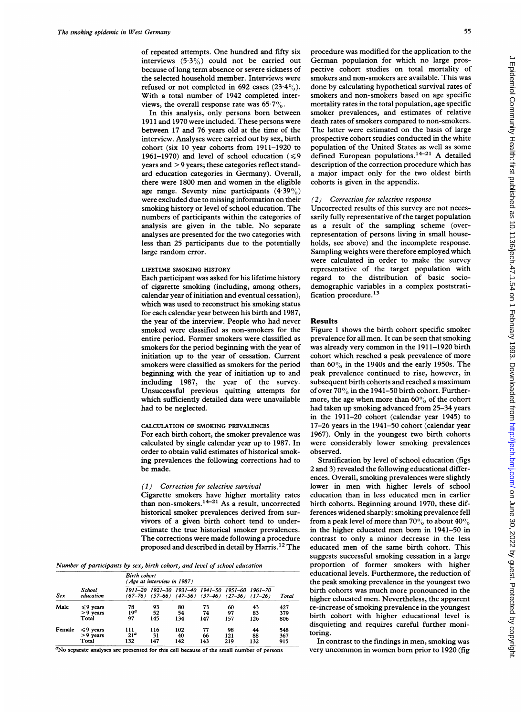of repeated attempts. One hundred and fifty six interviews (533%) could not be carried out because of long term absence or severe sickness of the selected household member. Interviews were refused or not completed in 692 cases  $(23.4\%)$ . With a total number of 1942 completed interviews, the overall response rate was  $65.7\%$ .

In this analysis, only persons born between 1911 and 1970 were included. These persons were between 17 and 76 years old at the time of the interview. Analyses were carried out by sex, birth cohort (six 10 year cohorts from 1911-1920 to 1961-1970) and level of school education  $(\leq 9)$ years and > 9 years; these categories reflect standard education categories in Germany). Overall, there were 1800 men and women in the eligible age range. Seventy nine participants  $(4.39\%)$ were excluded due to missing information on their smoking history or level of school education. The numbers of participants within the categories of analysis are given in the table. No separate analyses are presented for the two categories with less than 25 participants due to the potentially large random error.

## LIFETIME SMOKING HISTORY

Each participant was asked for his lifetime history of cigarette smoking (including, among others, calendar year of initiation and eventual cessation), which was used to reconstruct his smoking status for each calendar year between his birth and 1987, the year of the interview. People who had never smoked were classified as non-smokers for the entire period. Former smokers were classified as smokers for the period beginning with the year of initiation up to the year of cessation. Current smokers were classified as smokers for the period beginning with the year of initiation up to and including 1987, the year of the survey. Unsuccessful previous quitting attempts for which sufficiently detailed data were unavailable had to be neglected.

#### CALCULATION OF SMOKING PREVALENCES

For each birth cohort, the smoker prevalence was calculated by single calendar year up to 1987. In order to obtain valid estimates of historical smoking prevalences the following corrections had to be made.

#### (1) Correction for selective survival

Cigarette smokers have higher mortality rates than non-smokers.<sup>14-21</sup> As a result, uncorrected historical smoker prevalences derived from survivors of a given birth cohort tend to underestimate the true historical smoker prevalences. The corrections were made following <sup>a</sup> procedure proposed and described in detail by Harris. <sup>12</sup> The

Number of participants by sex, birth cohort, and level of school education

| Sex    | School<br>education | <b>Birth</b> cohort<br>(Age at interview in 1987) |     |     |                                                                                                        |     |     |       |
|--------|---------------------|---------------------------------------------------|-----|-----|--------------------------------------------------------------------------------------------------------|-----|-----|-------|
|        |                     | 1911–20                                           |     |     | 1921-30 1931-40 1941-50 1951-60 1961-70<br>$(67-76)$ $(57-66)$ $(47-56)$ $(37-46)$ $(27-36)$ $(17-26)$ |     |     | Total |
| Male   | $\leq 9$ years      | 78                                                | 93  | 80  | 73                                                                                                     | 60  | 43  | 427   |
|        | $> 9$ vears         | 19 <sup>a</sup>                                   | 52  | 54  | 74                                                                                                     | 97  | 83  | 379   |
|        | Total               | 97                                                | 145 | 134 | 147                                                                                                    | 157 | 126 | 806   |
| Female | $\leq 9$ years      | 111                                               | 116 | 102 | 77                                                                                                     | 98  | 44  | 548   |
|        | $>9$ years          | 21 <sup>a</sup>                                   | 31  | 40  | 66                                                                                                     | 121 | 88  | 367   |
|        | Total               | 132                                               | 147 | 142 | 143                                                                                                    | 219 | 132 | 915   |

<sup>a</sup>No separate analyses are presented for this cell because of the small number of persons

procedure was modified for the application to the German population for which no large prospective cohort studies on total mortality of smokers and non-smokers are available. This was done by calculating hypothetical survival rates of smokers and non-smokers based on age specific mortality rates in the total population, age specific smoker prevalences, and estimates of relative death rates of smokers compared to non-smokers. The latter were estimated on the basis of large prospective cohort studies conducted in the white population of the United States as well as some defined European populations. $14-21$  A detailed description of the correction procedure which has a major impact only for the two oldest birth cohorts is given in the appendix.

#### (2) Correction for selective response

Uncorrected results of this survey are not necessarily fully representative of the target population as a result of the sampling scheme (overrepresentation of persons living in small households, see above) and the incomplete response. Sampling weights were therefore employed which were calculated in order to make the survey representative of the target population with regard to the distribution of basic sociodemographic variables in a complex poststratification procedure.<sup>13</sup>

### Results

Figure <sup>1</sup> shows the birth cohort specific smoker prevalence for all men. It can be seen that smoking was already very common in the 1911-1920 birth cohort which reached a peak prevalence of more than 60% in the 1940s and the early 1950s. The peak prevalence continued to rise, however, in subsequent birth cohorts and reached <sup>a</sup> maximum ofover 70% in the 1941-50 birth cohort. Furthermore, the age when more than  $60\%$  of the cohort had taken up smoking advanced from 25-34 years in the 1911-20 cohort (calendar year 1945) to 17-26 years in the 1941-50 cohort (calendar year 1967). Only in the youngest two birth cohorts were considerably lower smoking prevalences observed.

Stratification by level of school education (figs 2 and 3) revealed the following educational differences. Overall, smoking prevalences were slightly lower in men with higher levels of school education than in less educated men in earlier birth cohorts. Beginning around 1970, these differences widened sharply: smoking prevalence fell from a peak level of more than  $70\%$  to about  $40\%$ in the higher educated men born in 1941-50 in contrast to only a minor decrease in the less educated men of the same birth cohort. This suggests successful smoking cessation in a large proportion of former smokers with higher educational levels. Furthermore, the reduction of the peak smoking prevalence in the youngest two birth cohorts was much more pronounced in the higher educated men. Nevertheless, the apparent re-increase of smoking prevalence in the youngest birth cohort with higher educational level is disquieting and requires careful further monitoring.

In contrast to the findings in men, smoking was very uncommon in women born prior to 1920 (fig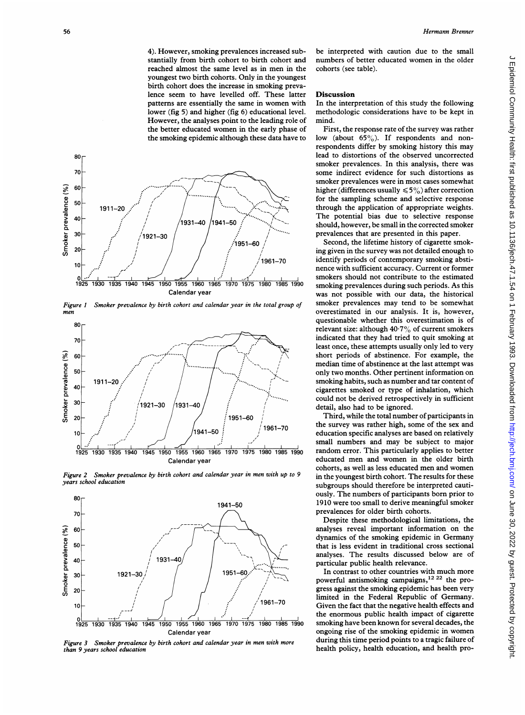4). However, smoking prevalences increased substantially from birth cohort to birth cohort and reached almost the same level as in men in the youngest two birth cohorts. Only in the youngest birth cohort does the increase in smoking prevalence seem to have levelled off. These latter patterns are essentially the same in women with lower (fig 5) and higher (fig 6) educational level. However, the analyses point to the leading role of the better educated women in the early phase of the smoking epidemic although these data have to



Figure <sup>1</sup> Smoker prevalence by birth cohort and calendar year in the total group of men



Figure 2 Smoker prevalence by birth cohort and calendar year in men with up to 9 years school education



Figure 3 Smoker prevalence by birth cohort and calendar year in men with more than 9 years school education

be interpreted with caution due to the small numbers of better educated women in the older cohorts (see table).

### **Discussion**

In the interpretation of this study the following methodologic considerations have to be kept in mind.

First, the response rate of the survey was rather low (about  $65\%$ ). If respondents and nonrespondents differ by smoking history this may lead to distortions of the observed uncorrected smoker prevalences. In this analysis, there was some indirect evidence for such distortions as smoker prevalences were in most cases somewhat higher (differences usually  $\leq 5\%$ ) after correction for the sampling scheme and selective response through the application of appropriate weights. The potential bias due to selective response should, however, be small in the corrected smoker prevalences that are presented in this paper.

Second, the lifetime history of cigarette smoking given in the survey was not detailed enough to identify periods of contemporary smoking abstinence with sufficient accuracy. Current or former smokers should not contribute to the estimated smoking prevalences during such periods. As this was not possible with our data, the historical smoker prevalences may tend to be somewhat overestimated in our analysis. It is, however, questionable whether this overestimation is of relevant size: although  $40.7\%$  of current smokers indicated that they had tried to quit smoking at least once, these attempts usually only led to very short periods of abstinence. For example, the median time of abstinence at the last attempt was only two months. Other pertinent information on smoking habits, such as number and tar content of cigarettes smoked or type of inhalation, which could not be derived retrospectively in sufficient detail, also had to be ignored.

Third, while the total number of participants in the survey was rather high, some of the sex and education specific analyses are based on relatively small numbers and may be subject to major random error. This particularly applies to better educated men and women in the older birth cohorts, as well as less educated men and women in the youngest birth cohort. The results for these subgroups should therefore be interpreted cautiously. The numbers of participants born prior to 1910 were too small to derive meaningful smoker prevalences for older birth cohorts.

Despite these methodological limitations, the analyses reveal important information on the dynamics of the smoking epidemic in Germany that is less evident in traditional cross sectional analyses. The results discussed below are of particular public health relevance.

In contrast to other countries with much more powerful antismoking campaigns,<sup>12 22</sup> the progress against the smoking epidemic has been very limited in the Federal Republic of Germany. Given the fact that the negative health effects and the enormous public health impact of cigarette smoking have been known for several decades, the ongoing rise of the smoking epidemic in women during this time period points to a tragic failure of health policy, health education, and health pro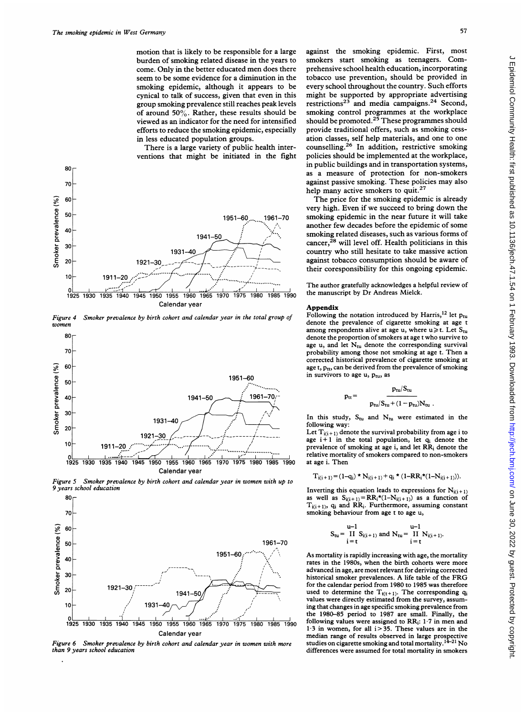motion that is likely to be responsible for a large burden of smoking related disease in the years to come. Only in the better educated men does there seem to be some evidence for a diminution in the smoking epidemic, although it appears to be cynical to talk of success, given that even in this group smoking prevalence still reaches peak levels of around  $50\%$ . Rather, these results should be viewed as an indicator for the need for intensified efforts to reduce the smoking epidemic, especially in less educated population groups.

There is a large variety of public health interventions that might be initiated in the fight



Figure 4 Smoker prevalence by birth cohort and calendar year in the total group of women



Figure 5 Smoker prevalence by birth cohort and calendar year in women with up to 9 years school education



Figure 6 Smoker prevalence by birth cohort and calendar year in women with more than 9 years school education

against the smoking epidemic. First, most smokers start smoking as teenagers. Comprehensive school health education, incorporating tobacco use prevention, should be provided in every school throughout the country. Such efforts might be supported by appropriate advertising restrictions<sup>23</sup> and media campaigns.<sup>24</sup> Second, smoking control programmes at the workplace should be promoted.<sup>25</sup> These programmes should provide traditional offers, such as smoking cessation classes, self help materials, and one to one counselling.<sup>26</sup> In addition, restrictive smoking policies should be implemented at the workplace, in public buildings and in transportation systems, as a measure of protection for non-smokers against passive smoking. These policies may also help many active smokers to quit.<sup>27</sup>

The price for the smoking epidemic is already very high. Even if we succeed to bring down the smoking epidemic in the near future it will take another few decades before the epidemic of some smoking related diseases, such as various forms of cancer,28 will level off. Health politicians in this country who still hesitate to take massive action against tobacco consumption should be aware of their coresponsibility for this ongoing epidemic.

The author gratefully acknowledges a helpful review of the manuscript by Dr Andreas Mielck.

#### Appendix

Following the notation introduced by Harris,<sup>12</sup> let  $p_{tu}$ denote the prevalence of cigarette smoking at age <sup>t</sup> among respondents alive at age u, where  $u \ge t$ . Let  $S_{tu}$ denote the proportion of smokers at age <sup>t</sup> who survive to age u, and let  $N_{tu}$  denote the corresponding survival probability among those not smoking at age t. Then <sup>a</sup> corrected historical prevalence of cigarette smoking at age t,  $p_{tt}$ , can be derived from the prevalence of smoking in survivors to age  $u$ ,  $p_{tu}$ , as

$$
= \frac{p_{tu}/S_{tu}}{p_{tu}/S_{tu}+(1-p_{tu})N_{tu}}
$$

In this study,  $S_{tu}$  and  $N_{tu}$  were estimated in the following way:

 $p_{tt} =$ 

Let  $T_{i(i+1)}$  denote the survival probability from age i to age  $i+1$  in the total population, let  $q_i$  denote the prevalence of smoking at age i, and let RR<sub>i</sub> denote the relative mortality of smokers compared to non-smokers at age i. Then

$$
T_{i(i+1)} = (1-q_i) \star N_{i(i+1)} + q_i \star (1 - RR_i \star (1 - N_{i(i+1)})).
$$

Inverting this equation leads to expressions for  $N_{i(i+1)}$ as well as  $S_{i(i+1)} = RR_i * (1 - N_{i(i+1)})$  as a function of  $T_{i(i+1)}$ ,  $q_i$  and RR<sub>i</sub>. Furthermore, assuming constant smoking behaviour from age <sup>t</sup> to age u,

$$
S_{tu} = \underset{i=t}{\overset{u-1}{II}} \, \, S_{i(i+1)} \, \, \text{and} \, \, N_{tu} = \underset{i=t}{\overset{u-1}{II}} \, \, N_{i(i+1)}.
$$

As mortality is rapidly increasing with age, the mortality rates in the 1980s, when the birth cohorts were more advanced in age, are most relevant for deriving corrected historical smoker prevalences. A life table of the FRG for the calendar period from 1980 to 1985 was therefore used to determine the  $T_{t(t+1)}$ . The corresponding  $q_i$ values were directly estimated from the survey, assuming that changes in age specific smoking prevalence from the 1980-85 period to 1987 are small. Finally, the following values were assigned to  $RR_i$ : 1.7 in men and  $1.3$  in women, for all  $i>35$ . These values are in the median range of results observed in large prospective studies on cigarette smoking and total mortality. <sup>1421</sup> No differences were assumed for total mortality in smokers